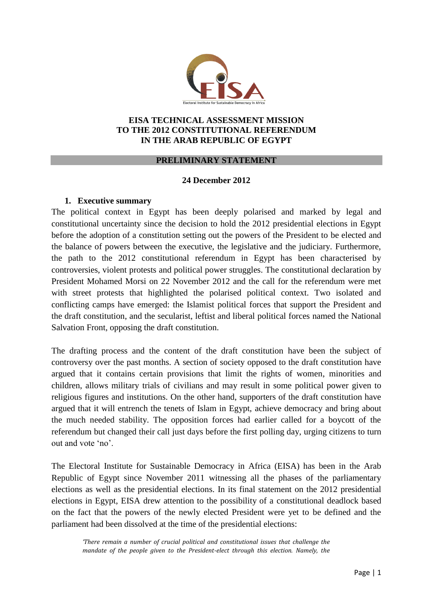

#### **EISA TECHNICAL ASSESSMENT MISSION TO THE 2012 CONSTITUTIONAL REFERENDUM IN THE ARAB REPUBLIC OF EGYPT**

#### **PRELIMINARY STATEMENT**

#### **24 December 2012**

#### **1. Executive summary**

The political context in Egypt has been deeply polarised and marked by legal and constitutional uncertainty since the decision to hold the 2012 presidential elections in Egypt before the adoption of a constitution setting out the powers of the President to be elected and the balance of powers between the executive, the legislative and the judiciary. Furthermore, the path to the 2012 constitutional referendum in Egypt has been characterised by controversies, violent protests and political power struggles. The constitutional declaration by President Mohamed Morsi on 22 November 2012 and the call for the referendum were met with street protests that highlighted the polarised political context. Two isolated and conflicting camps have emerged: the Islamist political forces that support the President and the draft constitution, and the secularist, leftist and liberal political forces named the National Salvation Front, opposing the draft constitution.

The drafting process and the content of the draft constitution have been the subject of controversy over the past months. A section of society opposed to the draft constitution have argued that it contains certain provisions that limit the rights of women, minorities and children, allows military trials of civilians and may result in some political power given to religious figures and institutions. On the other hand, supporters of the draft constitution have argued that it will entrench the tenets of Islam in Egypt, achieve democracy and bring about the much needed stability. The opposition forces had earlier called for a boycott of the referendum but changed their call just days before the first polling day, urging citizens to turn out and vote 'no'.

The Electoral Institute for Sustainable Democracy in Africa (EISA) has been in the Arab Republic of Egypt since November 2011 witnessing all the phases of the parliamentary elections as well as the presidential elections. In its final statement on the 2012 presidential elections in Egypt, EISA drew attention to the possibility of a constitutional deadlock based on the fact that the powers of the newly elected President were yet to be defined and the parliament had been dissolved at the time of the presidential elections:

*'There remain a number of crucial political and constitutional issues that challenge the mandate of the people given to the President-elect through this election. Namely, the*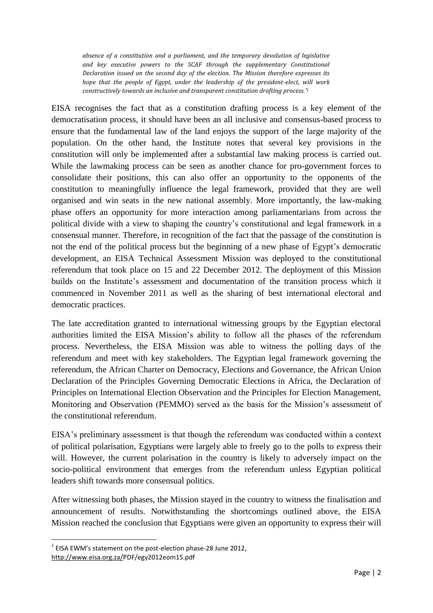*absence of a constitution and a parliament, and the temporary devolution of legislative and key executive powers to the SCAF through the supplementary Constitutional Declaration issued on the second day of the election. The Mission therefore expresses its hope that the people of Egypt, under the leadership of the president-elect, will work constructively towards an inclusive and transparent constitution drafting process.' 1*

EISA recognises the fact that as a constitution drafting process is a key element of the democratisation process, it should have been an all inclusive and consensus-based process to ensure that the fundamental law of the land enjoys the support of the large majority of the population. On the other hand, the Institute notes that several key provisions in the constitution will only be implemented after a substantial law making process is carried out. While the lawmaking process can be seen as another chance for pro-government forces to consolidate their positions, this can also offer an opportunity to the opponents of the constitution to meaningfully influence the legal framework, provided that they are well organised and win seats in the new national assembly. More importantly, the law-making phase offers an opportunity for more interaction among parliamentarians from across the political divide with a view to shaping the country's constitutional and legal framework in a consensual manner. Therefore, in recognition of the fact that the passage of the constitution is not the end of the political process but the beginning of a new phase of Egypt's democratic development, an EISA Technical Assessment Mission was deployed to the constitutional referendum that took place on 15 and 22 December 2012. The deployment of this Mission builds on the Institute's assessment and documentation of the transition process which it commenced in November 2011 as well as the sharing of best international electoral and democratic practices.

The late accreditation granted to international witnessing groups by the Egyptian electoral authorities limited the EISA Mission's ability to follow all the phases of the referendum process. Nevertheless, the EISA Mission was able to witness the polling days of the referendum and meet with key stakeholders. The Egyptian legal framework governing the referendum, the African Charter on Democracy, Elections and Governance, the African Union Declaration of the Principles Governing Democratic Elections in Africa, the Declaration of Principles on International Election Observation and the Principles for Election Management, Monitoring and Observation (PEMMO) served as the basis for the Mission's assessment of the constitutional referendum.

EISA's preliminary assessment is that though the referendum was conducted within a context of political polarisation, Egyptians were largely able to freely go to the polls to express their will. However, the current polarisation in the country is likely to adversely impact on the socio-political environment that emerges from the referendum unless Egyptian political leaders shift towards more consensual politics.

After witnessing both phases, the Mission stayed in the country to witness the finalisation and announcement of results. Notwithstanding the shortcomings outlined above, the EISA Mission reached the conclusion that Egyptians were given an opportunity to express their will

1

 $<sup>1</sup>$  EISA EWM's statement on the post-election phase-28 June 2012,</sup> [http://www.eisa.org.za/P](http://www.eisa.org.za/)DF/egy2012eom15.pdf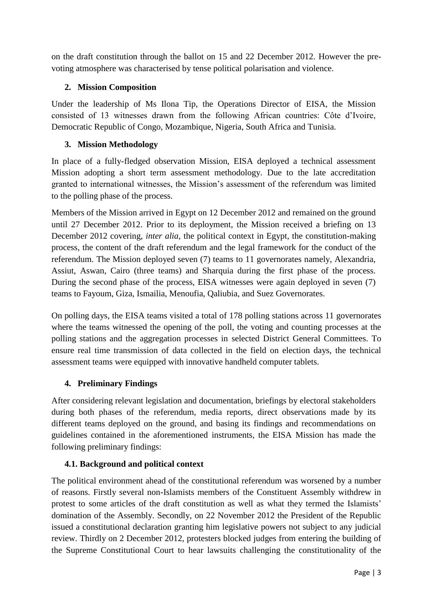on the draft constitution through the ballot on 15 and 22 December 2012. However the prevoting atmosphere was characterised by tense political polarisation and violence.

## **2. Mission Composition**

Under the leadership of Ms Ilona Tip, the Operations Director of EISA, the Mission consisted of 13 witnesses drawn from the following African countries: Côte d'Ivoire, Democratic Republic of Congo, Mozambique, Nigeria, South Africa and Tunisia.

## **3. Mission Methodology**

In place of a fully-fledged observation Mission, EISA deployed a technical assessment Mission adopting a short term assessment methodology. Due to the late accreditation granted to international witnesses, the Mission's assessment of the referendum was limited to the polling phase of the process.

Members of the Mission arrived in Egypt on 12 December 2012 and remained on the ground until 27 December 2012. Prior to its deployment, the Mission received a briefing on 13 December 2012 covering, *inter alia*, the political context in Egypt, the constitution-making process, the content of the draft referendum and the legal framework for the conduct of the referendum. The Mission deployed seven (7) teams to 11 governorates namely, Alexandria, Assiut, Aswan, Cairo (three teams) and Sharquia during the first phase of the process. During the second phase of the process, EISA witnesses were again deployed in seven (7) teams to Fayoum, Giza, Ismailia, Menoufia, Qaliubia, and Suez Governorates.

On polling days, the EISA teams visited a total of 178 polling stations across 11 governorates where the teams witnessed the opening of the poll, the voting and counting processes at the polling stations and the aggregation processes in selected District General Committees. To ensure real time transmission of data collected in the field on election days, the technical assessment teams were equipped with innovative handheld computer tablets.

# **4. Preliminary Findings**

After considering relevant legislation and documentation, briefings by electoral stakeholders during both phases of the referendum, media reports, direct observations made by its different teams deployed on the ground, and basing its findings and recommendations on guidelines contained in the aforementioned instruments, the EISA Mission has made the following preliminary findings:

# **4.1. Background and political context**

The political environment ahead of the constitutional referendum was worsened by a number of reasons. Firstly several non-Islamists members of the Constituent Assembly withdrew in protest to some articles of the draft constitution as well as what they termed the Islamists' domination of the Assembly. Secondly, on 22 November 2012 the President of the Republic issued a constitutional declaration granting him legislative powers not subject to any judicial review. Thirdly on 2 December 2012, protesters blocked judges from entering the building of the Supreme Constitutional Court to hear lawsuits challenging the constitutionality of the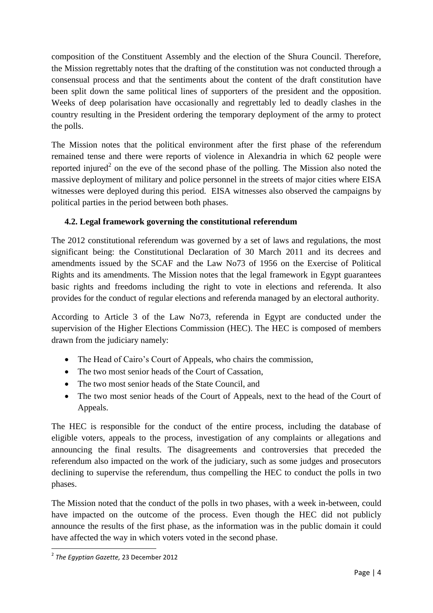composition of the Constituent Assembly and the election of the Shura Council. Therefore, the Mission regrettably notes that the drafting of the constitution was not conducted through a consensual process and that the sentiments about the content of the draft constitution have been split down the same political lines of supporters of the president and the opposition. Weeks of deep polarisation have occasionally and regrettably led to deadly clashes in the country resulting in the President ordering the temporary deployment of the army to protect the polls.

The Mission notes that the political environment after the first phase of the referendum remained tense and there were reports of violence in Alexandria in which 62 people were reported injured<sup>2</sup> on the eve of the second phase of the polling. The Mission also noted the massive deployment of military and police personnel in the streets of major cities where EISA witnesses were deployed during this period. EISA witnesses also observed the campaigns by political parties in the period between both phases.

## **4.2. Legal framework governing the constitutional referendum**

The 2012 constitutional referendum was governed by a set of laws and regulations, the most significant being: the Constitutional Declaration of 30 March 2011 and its decrees and amendments issued by the SCAF and the Law No73 of 1956 on the Exercise of Political Rights and its amendments. The Mission notes that the legal framework in Egypt guarantees basic rights and freedoms including the right to vote in elections and referenda. It also provides for the conduct of regular elections and referenda managed by an electoral authority.

According to Article 3 of the Law No73, referenda in Egypt are conducted under the supervision of the Higher Elections Commission (HEC). The HEC is composed of members drawn from the judiciary namely:

- The Head of Cairo's Court of Appeals, who chairs the commission,
- The two most senior heads of the Court of Cassation,
- The two most senior heads of the State Council, and
- The two most senior heads of the Court of Appeals, next to the head of the Court of Appeals.

The HEC is responsible for the conduct of the entire process, including the database of eligible voters, appeals to the process, investigation of any complaints or allegations and announcing the final results. The disagreements and controversies that preceded the referendum also impacted on the work of the judiciary, such as some judges and prosecutors declining to supervise the referendum, thus compelling the HEC to conduct the polls in two phases.

The Mission noted that the conduct of the polls in two phases, with a week in-between, could have impacted on the outcome of the process. Even though the HEC did not publicly announce the results of the first phase, as the information was in the public domain it could have affected the way in which voters voted in the second phase.

 2 *The Egyptian Gazette,* 23 December 2012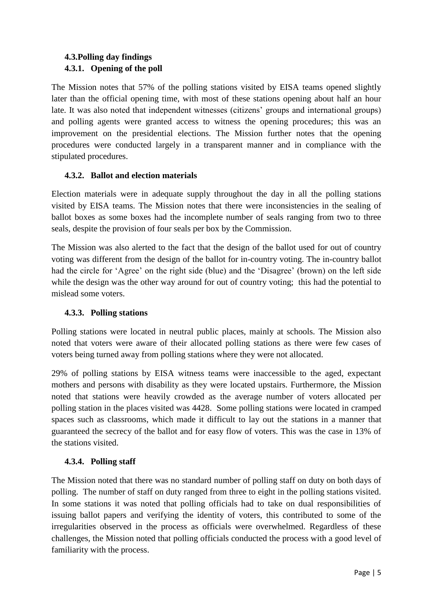## **4.3.Polling day findings 4.3.1. Opening of the poll**

The Mission notes that 57% of the polling stations visited by EISA teams opened slightly later than the official opening time, with most of these stations opening about half an hour late. It was also noted that independent witnesses (citizens' groups and international groups) and polling agents were granted access to witness the opening procedures; this was an improvement on the presidential elections. The Mission further notes that the opening procedures were conducted largely in a transparent manner and in compliance with the stipulated procedures.

### **4.3.2. Ballot and election materials**

Election materials were in adequate supply throughout the day in all the polling stations visited by EISA teams. The Mission notes that there were inconsistencies in the sealing of ballot boxes as some boxes had the incomplete number of seals ranging from two to three seals, despite the provision of four seals per box by the Commission.

The Mission was also alerted to the fact that the design of the ballot used for out of country voting was different from the design of the ballot for in-country voting. The in-country ballot had the circle for 'Agree' on the right side (blue) and the 'Disagree' (brown) on the left side while the design was the other way around for out of country voting; this had the potential to mislead some voters.

### **4.3.3. Polling stations**

Polling stations were located in neutral public places, mainly at schools. The Mission also noted that voters were aware of their allocated polling stations as there were few cases of voters being turned away from polling stations where they were not allocated.

29% of polling stations by EISA witness teams were inaccessible to the aged, expectant mothers and persons with disability as they were located upstairs. Furthermore, the Mission noted that stations were heavily crowded as the average number of voters allocated per polling station in the places visited was 4428. Some polling stations were located in cramped spaces such as classrooms, which made it difficult to lay out the stations in a manner that guaranteed the secrecy of the ballot and for easy flow of voters. This was the case in 13% of the stations visited.

### **4.3.4. Polling staff**

The Mission noted that there was no standard number of polling staff on duty on both days of polling. The number of staff on duty ranged from three to eight in the polling stations visited. In some stations it was noted that polling officials had to take on dual responsibilities of issuing ballot papers and verifying the identity of voters, this contributed to some of the irregularities observed in the process as officials were overwhelmed. Regardless of these challenges, the Mission noted that polling officials conducted the process with a good level of familiarity with the process.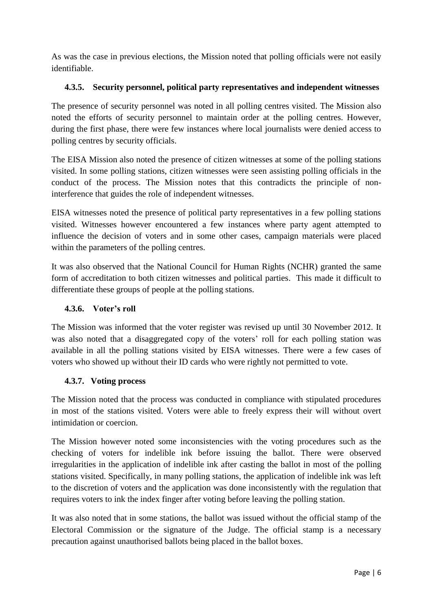As was the case in previous elections, the Mission noted that polling officials were not easily identifiable.

### **4.3.5. Security personnel, political party representatives and independent witnesses**

The presence of security personnel was noted in all polling centres visited. The Mission also noted the efforts of security personnel to maintain order at the polling centres. However, during the first phase, there were few instances where local journalists were denied access to polling centres by security officials.

The EISA Mission also noted the presence of citizen witnesses at some of the polling stations visited. In some polling stations, citizen witnesses were seen assisting polling officials in the conduct of the process. The Mission notes that this contradicts the principle of noninterference that guides the role of independent witnesses.

EISA witnesses noted the presence of political party representatives in a few polling stations visited. Witnesses however encountered a few instances where party agent attempted to influence the decision of voters and in some other cases, campaign materials were placed within the parameters of the polling centres.

It was also observed that the National Council for Human Rights (NCHR) granted the same form of accreditation to both citizen witnesses and political parties. This made it difficult to differentiate these groups of people at the polling stations.

### **4.3.6. Voter's roll**

The Mission was informed that the voter register was revised up until 30 November 2012. It was also noted that a disaggregated copy of the voters' roll for each polling station was available in all the polling stations visited by EISA witnesses. There were a few cases of voters who showed up without their ID cards who were rightly not permitted to vote.

### **4.3.7. Voting process**

The Mission noted that the process was conducted in compliance with stipulated procedures in most of the stations visited. Voters were able to freely express their will without overt intimidation or coercion.

The Mission however noted some inconsistencies with the voting procedures such as the checking of voters for indelible ink before issuing the ballot. There were observed irregularities in the application of indelible ink after casting the ballot in most of the polling stations visited. Specifically, in many polling stations, the application of indelible ink was left to the discretion of voters and the application was done inconsistently with the regulation that requires voters to ink the index finger after voting before leaving the polling station.

It was also noted that in some stations, the ballot was issued without the official stamp of the Electoral Commission or the signature of the Judge. The official stamp is a necessary precaution against unauthorised ballots being placed in the ballot boxes.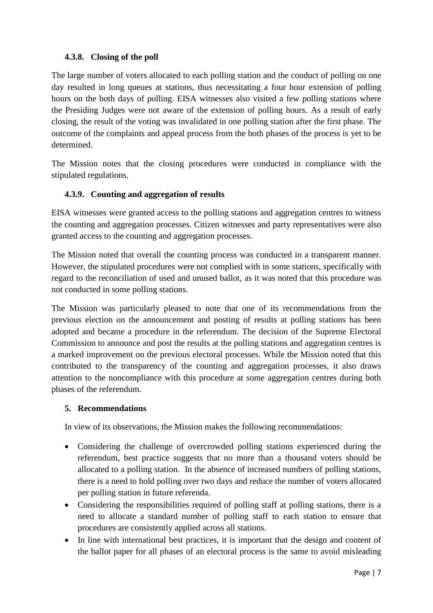### **4.3.8. Closing of the poll**

The large number of voters allocated to each polling station and the conduct of polling on one day resulted in long queues at stations, thus necessitating a four hour extension of polling hours on the both days of polling. EISA witnesses also visited a few polling stations where the Presiding Judges were not aware of the extension of polling hours. As a result of early closing, the result of the voting was invalidated in one polling station after the first phase. The outcome of the complaints and appeal process from the both phases of the process is yet to be determined.

The Mission notes that the closing procedures were conducted in compliance with the stipulated regulations.

### **4.3.9. Counting and aggregation of results**

EISA witnesses were granted access to the polling stations and aggregation centres to witness the counting and aggregation processes. Citizen witnesses and party representatives were also granted access to the counting and aggregation processes.

The Mission noted that overall the counting process was conducted in a transparent manner. However, the stipulated procedures were not complied with in some stations, specifically with regard to the reconciliation of used and unused ballot, as it was noted that this procedure was not conducted in some polling stations.

The Mission was particularly pleased to note that one of its recommendations from the previous election on the announcement and posting of results at polling stations has been adopted and became a procedure in the referendum. The decision of the Supreme Electoral Commission to announce and post the results at the polling stations and aggregation centres is a marked improvement on the previous electoral processes. While the Mission noted that this contributed to the transparency of the counting and aggregation processes, it also draws attention to the noncompliance with this procedure at some aggregation centres during both phases of the referendum.

### **5. Recommendations**

In view of its observations, the Mission makes the following recommendations:

- Considering the challenge of overcrowded polling stations experienced during the referendum, best practice suggests that no more than a thousand voters should be allocated to a polling station. In the absence of increased numbers of polling stations, there is a need to hold polling over two days and reduce the number of voters allocated per polling station in future referenda.
- Considering the responsibilities required of polling staff at polling stations, there is a need to allocate a standard number of polling staff to each station to ensure that procedures are consistently applied across all stations.
- In line with international best practices, it is important that the design and content of the ballot paper for all phases of an electoral process is the same to avoid misleading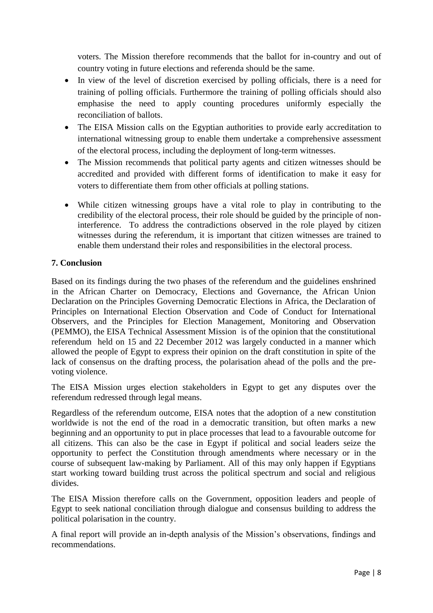voters. The Mission therefore recommends that the ballot for in-country and out of country voting in future elections and referenda should be the same.

- In view of the level of discretion exercised by polling officials, there is a need for training of polling officials. Furthermore the training of polling officials should also emphasise the need to apply counting procedures uniformly especially the reconciliation of ballots.
- The EISA Mission calls on the Egyptian authorities to provide early accreditation to international witnessing group to enable them undertake a comprehensive assessment of the electoral process, including the deployment of long-term witnesses.
- The Mission recommends that political party agents and citizen witnesses should be accredited and provided with different forms of identification to make it easy for voters to differentiate them from other officials at polling stations.
- While citizen witnessing groups have a vital role to play in contributing to the credibility of the electoral process, their role should be guided by the principle of noninterference. To address the contradictions observed in the role played by citizen witnesses during the referendum, it is important that citizen witnesses are trained to enable them understand their roles and responsibilities in the electoral process.

### **7. Conclusion**

Based on its findings during the two phases of the referendum and the guidelines enshrined in the African Charter on Democracy, Elections and Governance, the African Union Declaration on the Principles Governing Democratic Elections in Africa, the Declaration of Principles on International Election Observation and Code of Conduct for International Observers, and the Principles for Election Management, Monitoring and Observation (PEMMO), the EISA Technical Assessment Mission is of the opinion that the constitutional referendum held on 15 and 22 December 2012 was largely conducted in a manner which allowed the people of Egypt to express their opinion on the draft constitution in spite of the lack of consensus on the drafting process, the polarisation ahead of the polls and the prevoting violence.

The EISA Mission urges election stakeholders in Egypt to get any disputes over the referendum redressed through legal means.

Regardless of the referendum outcome, EISA notes that the adoption of a new constitution worldwide is not the end of the road in a democratic transition, but often marks a new beginning and an opportunity to put in place processes that lead to a favourable outcome for all citizens. This can also be the case in Egypt if political and social leaders seize the opportunity to perfect the Constitution through amendments where necessary or in the course of subsequent law-making by Parliament. All of this may only happen if Egyptians start working toward building trust across the political spectrum and social and religious divides.

The EISA Mission therefore calls on the Government, opposition leaders and people of Egypt to seek national conciliation through dialogue and consensus building to address the political polarisation in the country.

A final report will provide an in-depth analysis of the Mission's observations, findings and recommendations.